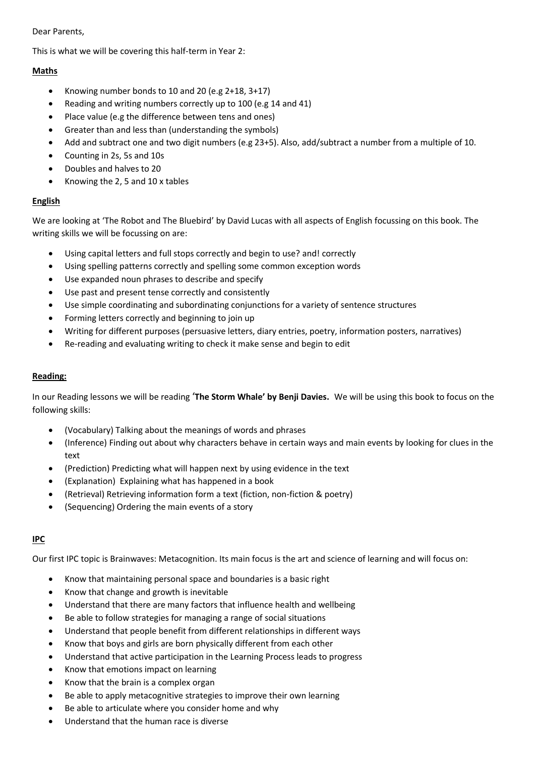#### Dear Parents,

This is what we will be covering this half-term in Year 2:

# **Maths**

- Knowing number bonds to 10 and 20 (e.g  $2+18$ ,  $3+17$ )
- Reading and writing numbers correctly up to 100 (e.g 14 and 41)
- Place value (e.g the difference between tens and ones)
- Greater than and less than (understanding the symbols)
- Add and subtract one and two digit numbers (e.g 23+5). Also, add/subtract a number from a multiple of 10.
- Counting in 2s, 5s and 10s
- Doubles and halves to 20
- Knowing the 2, 5 and 10 x tables

## **English**

We are looking at 'The Robot and The Bluebird' by David Lucas with all aspects of English focussing on this book. The writing skills we will be focussing on are:

- Using capital letters and full stops correctly and begin to use? and! correctly
- Using spelling patterns correctly and spelling some common exception words
- Use expanded noun phrases to describe and specify
- Use past and present tense correctly and consistently
- Use simple coordinating and subordinating conjunctions for a variety of sentence structures
- Forming letters correctly and beginning to join up
- Writing for different purposes (persuasive letters, diary entries, poetry, information posters, narratives)
- Re-reading and evaluating writing to check it make sense and begin to edit

#### **Reading:**

In our Reading lessons we will be reading '**The Storm Whale' by Benji Davies.** We will be using this book to focus on the following skills:

- (Vocabulary) Talking about the meanings of words and phrases
- (Inference) Finding out about why characters behave in certain ways and main events by looking for clues in the text
- (Prediction) Predicting what will happen next by using evidence in the text
- (Explanation) Explaining what has happened in a book
- (Retrieval) Retrieving information form a text (fiction, non-fiction & poetry)
- (Sequencing) Ordering the main events of a story

## **IPC**

Our first IPC topic is Brainwaves: Metacognition. Its main focus is the art and science of learning and will focus on:

- Know that maintaining personal space and boundaries is a basic right
- Know that change and growth is inevitable
- Understand that there are many factors that influence health and wellbeing
- Be able to follow strategies for managing a range of social situations
- Understand that people benefit from different relationships in different ways
- Know that boys and girls are born physically different from each other
- Understand that active participation in the Learning Process leads to progress
- Know that emotions impact on learning
- Know that the brain is a complex organ
- Be able to apply metacognitive strategies to improve their own learning
- Be able to articulate where you consider home and why
- Understand that the human race is diverse